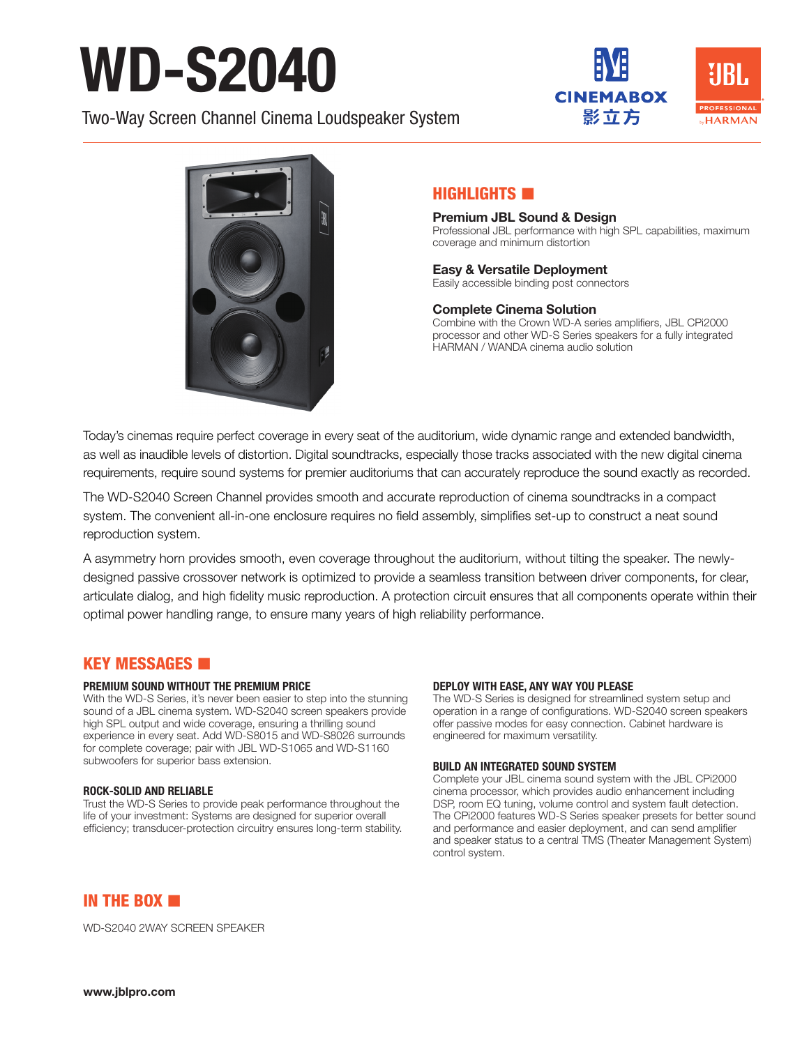# WD-S2040

Two-Way Screen Channel Cinema Loudspeaker System





## HIGHLIGHTS **IN**

Premium JBL Sound & Design Professional JBL performance with high SPL capabilities, maximum coverage and minimum distortion

# Easy & Versatile Deployment

Easily accessible binding post connectors

#### Complete Cinema Solution

Combine with the Crown WD-A series amplifiers, JBL CPi2000 processor and other WD-S Series speakers for a fully integrated HARMAN / WANDA cinema audio solution

Today's cinemas require perfect coverage in every seat of the auditorium, wide dynamic range and extended bandwidth, as well as inaudible levels of distortion. Digital soundtracks, especially those tracks associated with the new digital cinema requirements, require sound systems for premier auditoriums that can accurately reproduce the sound exactly as recorded.

The WD-S2040 Screen Channel provides smooth and accurate reproduction of cinema soundtracks in a compact system. The convenient all-in-one enclosure requires no field assembly, simplifies set-up to construct a neat sound reproduction system.

A asymmetry horn provides smooth, even coverage throughout the auditorium, without tilting the speaker. The newlydesigned passive crossover network is optimized to provide a seamless transition between driver components, for clear, articulate dialog, and high fidelity music reproduction. A protection circuit ensures that all components operate within their optimal power handling range, to ensure many years of high reliability performance.

## KEY MESSAGES

#### PREMIUM SOUND WITHOUT THE PREMIUM PRICE

With the WD-S Series, it's never been easier to step into the stunning sound of a JBL cinema system. WD-S2040 screen speakers provide high SPL output and wide coverage, ensuring a thrilling sound experience in every seat. Add WD-S8015 and WD-S8026 surrounds for complete coverage; pair with JBL WD-S1065 and WD-S1160 subwoofers for superior bass extension.

#### ROCK-SOLID AND RELIABLE

Trust the WD-S Series to provide peak performance throughout the life of your investment: Systems are designed for superior overall efficiency; transducer-protection circuitry ensures long-term stability.

#### DEPLOY WITH EASE, ANY WAY YOU PLEASE

The WD-S Series is designed for streamlined system setup and operation in a range of configurations. WD-S2040 screen speakers offer passive modes for easy connection. Cabinet hardware is engineered for maximum versatility.

#### BUILD AN INTEGRATED SOUND SYSTEM

Complete your JBL cinema sound system with the JBL CPi2000 cinema processor, which provides audio enhancement including DSP, room EQ tuning, volume control and system fault detection. The CPi2000 features WD-S Series speaker presets for better sound and performance and easier deployment, and can send amplifier and speaker status to a central TMS (Theater Management System) control system.

IN THE BOX

WD-S2040 2WAY SCREEN SPEAKER